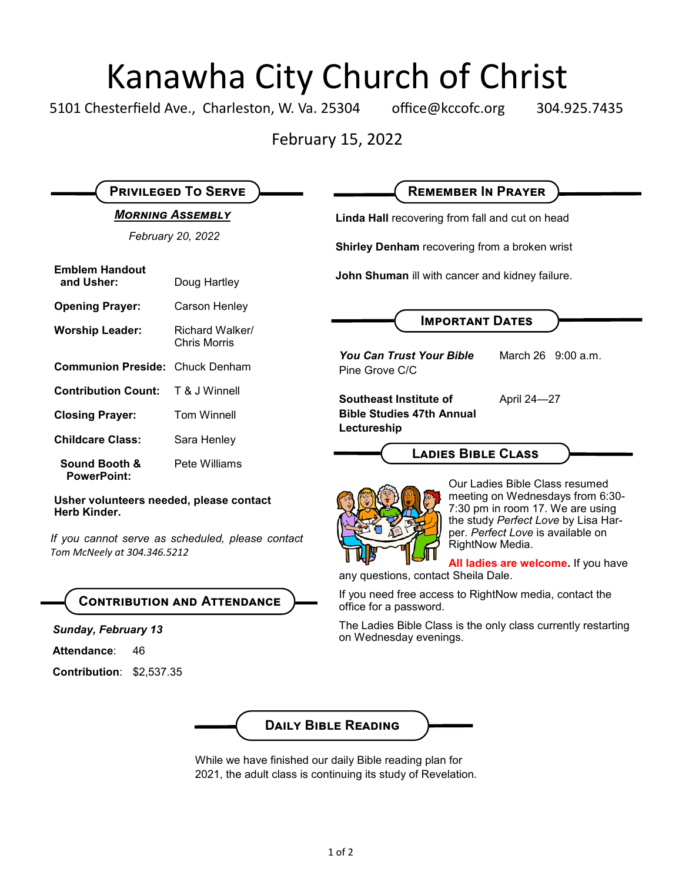# Kanawha City Church of Christ<br>esterfield Ave., Charleston, W. Va. 25304 office@kccofc.org 304.9

5101 Chesterfield Ave., Charleston, W. Va. 25304 office@kccofc.org 304.925.7435

February 15, 2022

|                                                                                                             | <b>PRIVILEGED TO SERVE</b>      | <b>REMEMBER IN PRAYER</b>                                                                                                                                                                             |
|-------------------------------------------------------------------------------------------------------------|---------------------------------|-------------------------------------------------------------------------------------------------------------------------------------------------------------------------------------------------------|
| <b>MORNING ASSEMBLY</b>                                                                                     |                                 | Linda Hall recovering from fall and cut on head                                                                                                                                                       |
| February 20, 2022                                                                                           |                                 | Shirley Denham recovering from a broken wrist                                                                                                                                                         |
| <b>Emblem Handout</b><br>and Usher:                                                                         | Doug Hartley                    | John Shuman ill with cancer and kidney failure.                                                                                                                                                       |
| <b>Opening Prayer:</b>                                                                                      | Carson Henley                   |                                                                                                                                                                                                       |
| <b>Worship Leader:</b>                                                                                      | Richard Walker/<br>Chris Morris | <b>IMPORTANT DATES</b>                                                                                                                                                                                |
| <b>Communion Preside: Chuck Denham</b>                                                                      |                                 | <b>You Can Trust Your Bible</b><br>March 26 9:00 a.m.<br>Pine Grove C/C                                                                                                                               |
| <b>Contribution Count:</b>                                                                                  | T & J Winnell                   | Southeast Institute of<br>April 24-27                                                                                                                                                                 |
| <b>Closing Prayer:</b>                                                                                      | <b>Tom Winnell</b>              | <b>Bible Studies 47th Annual</b><br>Lectureship                                                                                                                                                       |
| <b>Childcare Class:</b>                                                                                     | Sara Henley                     |                                                                                                                                                                                                       |
| Sound Booth &<br><b>PowerPoint:</b>                                                                         | Pete Williams                   | <b>LADIES BIBLE CLASS</b>                                                                                                                                                                             |
| Usher volunteers needed, please contact<br>Herb Kinder.<br>If you cannot serve as scheduled, please contact |                                 | Our Ladies Bible Class resumed<br>meeting on Wednesdays from 6:30-<br>7:30 pm in room 17. We are using<br>the study Perfect Love by Lisa Har-<br>per. Perfect Love is available on<br>RightNow Media. |
| Tom McNeely at 304.346.5212                                                                                 |                                 | All ladies are welcome. If you have<br>any questions, contact Sheila Dale.                                                                                                                            |
| <b>CONTRIBUTION AND ATTENDANCE</b>                                                                          |                                 | If you need free access to RightNow media, contact the<br>office for a password.                                                                                                                      |
| <b>Sunday, February 13</b><br>Attendance:<br>46<br><b>Contribution: \$2,537.35</b>                          |                                 | The Ladies Bible Class is the only class currently restarting<br>on Wednesday evenings.                                                                                                               |
|                                                                                                             |                                 | <b>DAILY BIBLE READING</b>                                                                                                                                                                            |

While we have finished our daily Bible reading plan for 2021, the adult class is continuing its study of Revelation.